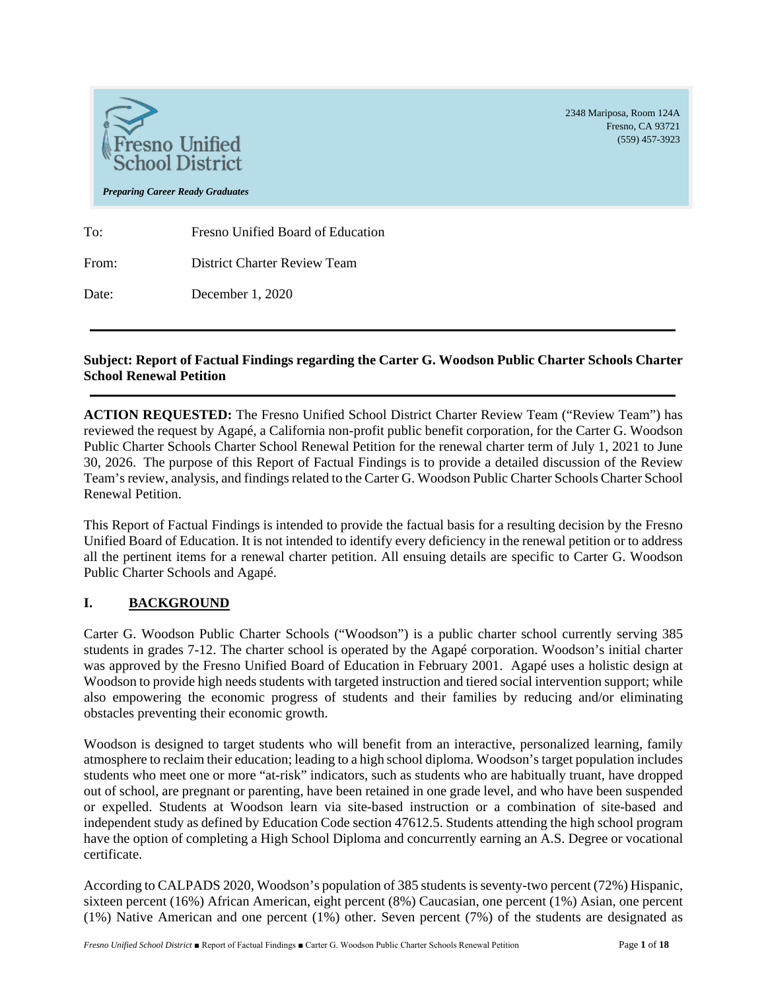

2348 Mariposa, Room 124A Fresno, CA 93721 (559) 457-3923

*Preparing Career Ready Graduates*

To: Fresno Unified Board of Education From: District Charter Review Team

Date: December 1, 2020

# **Subject: Report of Factual Findings regarding the Carter G. Woodson Public Charter Schools Charter School Renewal Petition**

**ACTION REQUESTED:** The Fresno Unified School District Charter Review Team ("Review Team") has reviewed the request by Agapé, a California non-profit public benefit corporation, for the Carter G. Woodson Public Charter Schools Charter School Renewal Petition for the renewal charter term of July 1, 2021 to June 30, 2026. The purpose of this Report of Factual Findings is to provide a detailed discussion of the Review Team's review, analysis, and findings related to the Carter G. Woodson Public Charter Schools Charter School Renewal Petition.

This Report of Factual Findings is intended to provide the factual basis for a resulting decision by the Fresno Unified Board of Education. It is not intended to identify every deficiency in the renewal petition or to address all the pertinent items for a renewal charter petition. All ensuing details are specific to Carter G. Woodson Public Charter Schools and Agapé.

# **I. BACKGROUND**

Carter G. Woodson Public Charter Schools ("Woodson") is a public charter school currently serving 385 students in grades 7-12. The charter school is operated by the Agapé corporation. Woodson's initial charter was approved by the Fresno Unified Board of Education in February 2001. Agapé uses a holistic design at Woodson to provide high needs students with targeted instruction and tiered social intervention support; while also empowering the economic progress of students and their families by reducing and/or eliminating obstacles preventing their economic growth.

Woodson is designed to target students who will benefit from an interactive, personalized learning, family atmosphere to reclaim their education; leading to a high school diploma. Woodson's target population includes students who meet one or more "at-risk" indicators, such as students who are habitually truant, have dropped out of school, are pregnant or parenting, have been retained in one grade level, and who have been suspended or expelled. Students at Woodson learn via site-based instruction or a combination of site-based and independent study as defined by Education Code section 47612.5. Students attending the high school program have the option of completing a High School Diploma and concurrently earning an A.S. Degree or vocational certificate.

According to CALPADS 2020, Woodson's population of 385 students isseventy-two percent (72%) Hispanic, sixteen percent (16%) African American, eight percent (8%) Caucasian, one percent (1%) Asian, one percent (1%) Native American and one percent (1%) other. Seven percent (7%) of the students are designated as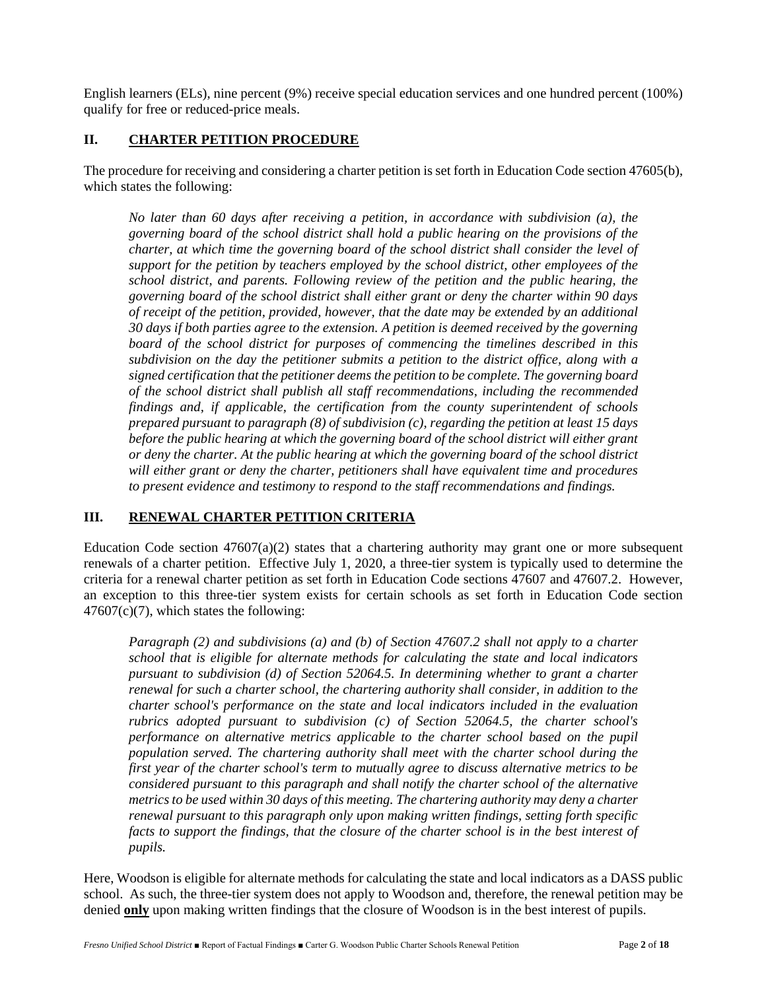English learners (ELs), nine percent (9%) receive special education services and one hundred percent (100%) qualify for free or reduced-price meals.

## **II. CHARTER PETITION PROCEDURE**

The procedure for receiving and considering a charter petition is set forth in Education Code section 47605(b), which states the following:

*No later than 60 days after receiving a petition, in accordance with subdivision (a), the governing board of the school district shall hold a public hearing on the provisions of the charter, at which time the governing board of the school district shall consider the level of support for the petition by teachers employed by the school district, other employees of the school district, and parents. Following review of the petition and the public hearing, the governing board of the school district shall either grant or deny the charter within 90 days of receipt of the petition, provided, however, that the date may be extended by an additional 30 days if both parties agree to the extension. A petition is deemed received by the governing board of the school district for purposes of commencing the timelines described in this subdivision on the day the petitioner submits a petition to the district office, along with a signed certification that the petitioner deems the petition to be complete. The governing board of the school district shall publish all staff recommendations, including the recommended findings and, if applicable, the certification from the county superintendent of schools prepared pursuant to paragraph (8) of subdivision (c), regarding the petition at least 15 days before the public hearing at which the governing board of the school district will either grant or deny the charter. At the public hearing at which the governing board of the school district will either grant or deny the charter, petitioners shall have equivalent time and procedures to present evidence and testimony to respond to the staff recommendations and findings.*

# **III. RENEWAL CHARTER PETITION CRITERIA**

Education Code section  $47607(a)(2)$  states that a chartering authority may grant one or more subsequent renewals of a charter petition. Effective July 1, 2020, a three-tier system is typically used to determine the criteria for a renewal charter petition as set forth in Education Code sections 47607 and 47607.2. However, an exception to this three-tier system exists for certain schools as set forth in Education Code section  $47607(c)(7)$ , which states the following:

*Paragraph (2) and subdivisions (a) and (b) of Section 47607.2 shall not apply to a charter school that is eligible for alternate methods for calculating the state and local indicators pursuant to subdivision (d) of Section 52064.5. In determining whether to grant a charter renewal for such a charter school, the chartering authority shall consider, in addition to the charter school's performance on the state and local indicators included in the evaluation rubrics adopted pursuant to subdivision (c) of Section 52064.5, the charter school's performance on alternative metrics applicable to the charter school based on the pupil population served. The chartering authority shall meet with the charter school during the first year of the charter school's term to mutually agree to discuss alternative metrics to be considered pursuant to this paragraph and shall notify the charter school of the alternative metrics to be used within 30 days of this meeting. The chartering authority may deny a charter renewal pursuant to this paragraph only upon making written findings, setting forth specific facts to support the findings, that the closure of the charter school is in the best interest of pupils.*

Here, Woodson is eligible for alternate methods for calculating the state and local indicators as a DASS public school. As such, the three-tier system does not apply to Woodson and, therefore, the renewal petition may be denied **only** upon making written findings that the closure of Woodson is in the best interest of pupils.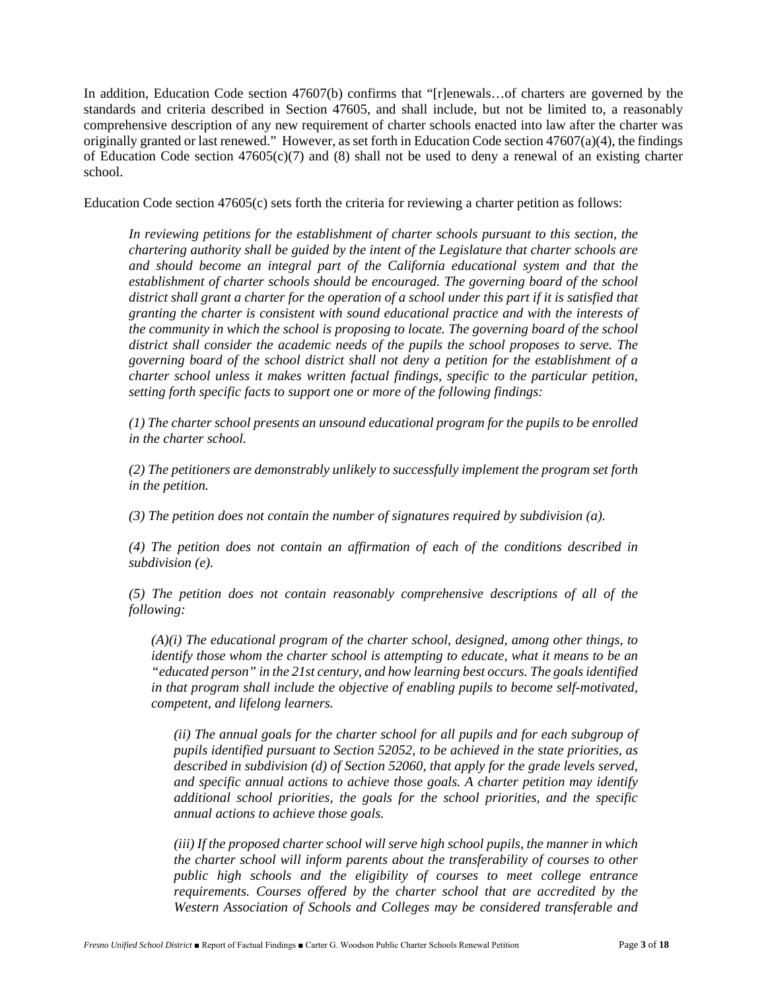In addition, Education Code section 47607(b) confirms that "[r]enewals…of charters are governed by the standards and criteria described in Section 47605, and shall include, but not be limited to, a reasonably comprehensive description of any new requirement of charter schools enacted into law after the charter was originally granted or last renewed." However, as set forth in Education Code section  $47607(a)(4)$ , the findings of Education Code section  $47605(c)(7)$  and (8) shall not be used to deny a renewal of an existing charter school.

Education Code section 47605(c) sets forth the criteria for reviewing a charter petition as follows:

*In reviewing petitions for the establishment of charter schools pursuant to this section, the chartering authority shall be guided by the intent of the Legislature that charter schools are and should become an integral part of the California educational system and that the establishment of charter schools should be encouraged. The governing board of the school district shall grant a charter for the operation of a school under this part if it is satisfied that granting the charter is consistent with sound educational practice and with the interests of the community in which the school is proposing to locate. The governing board of the school district shall consider the academic needs of the pupils the school proposes to serve. The governing board of the school district shall not deny a petition for the establishment of a charter school unless it makes written factual findings, specific to the particular petition, setting forth specific facts to support one or more of the following findings:* 

*(1) The charter school presents an unsound educational program for the pupils to be enrolled in the charter school.*

*(2) The petitioners are demonstrably unlikely to successfully implement the program set forth in the petition.*

*(3) The petition does not contain the number of signatures required by subdivision (a).*

*(4) The petition does not contain an affirmation of each of the conditions described in subdivision (e).*

*(5) The petition does not contain reasonably comprehensive descriptions of all of the following:*

*(A)(i) The educational program of the charter school, designed, among other things, to identify those whom the charter school is attempting to educate, what it means to be an "educated person" in the 21st century, and how learning best occurs. The goals identified in that program shall include the objective of enabling pupils to become self-motivated, competent, and lifelong learners.*

*(ii) The annual goals for the charter school for all pupils and for each subgroup of pupils identified pursuant to Section 52052, to be achieved in the state priorities, as described in subdivision (d) of Section 52060, that apply for the grade levels served, and specific annual actions to achieve those goals. A charter petition may identify additional school priorities, the goals for the school priorities, and the specific annual actions to achieve those goals.*

*(iii) If the proposed charter school will serve high school pupils, the manner in which the charter school will inform parents about the transferability of courses to other public high schools and the eligibility of courses to meet college entrance requirements. Courses offered by the charter school that are accredited by the Western Association of Schools and Colleges may be considered transferable and*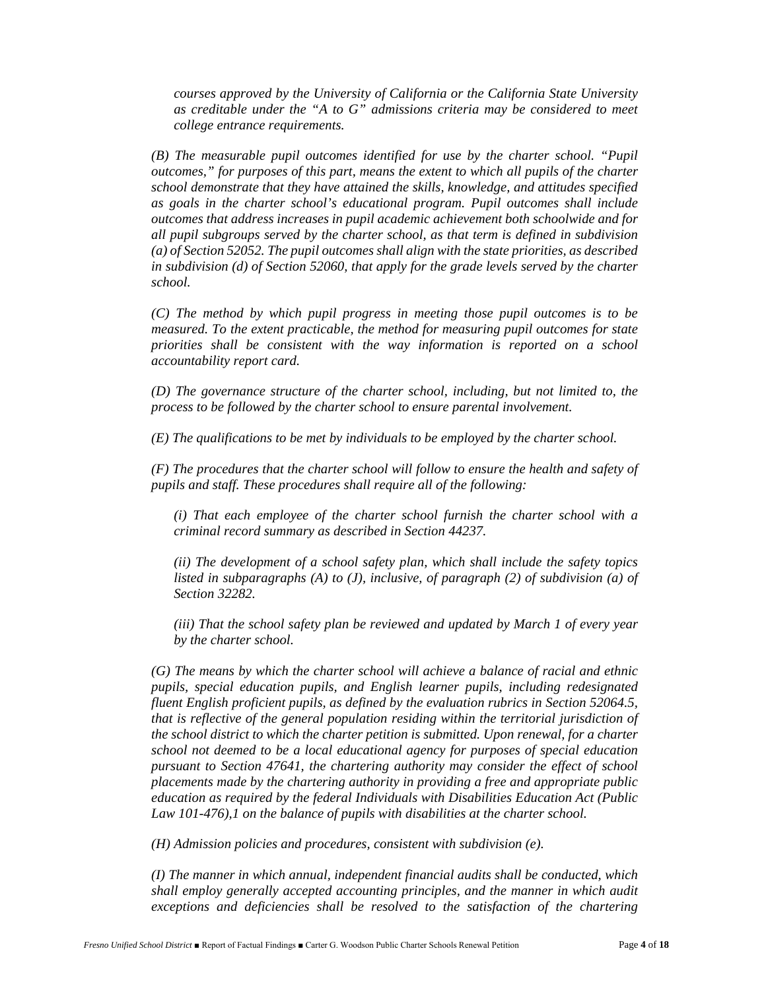*courses approved by the University of California or the California State University as creditable under the "A to G" admissions criteria may be considered to meet college entrance requirements.*

*(B) The measurable pupil outcomes identified for use by the charter school. "Pupil outcomes," for purposes of this part, means the extent to which all pupils of the charter school demonstrate that they have attained the skills, knowledge, and attitudes specified as goals in the charter school's educational program. Pupil outcomes shall include outcomes that address increases in pupil academic achievement both schoolwide and for all pupil subgroups served by the charter school, as that term is defined in subdivision (a) of Section 52052. The pupil outcomes shall align with the state priorities, as described in subdivision (d) of Section 52060, that apply for the grade levels served by the charter school.*

*(C) The method by which pupil progress in meeting those pupil outcomes is to be measured. To the extent practicable, the method for measuring pupil outcomes for state priorities shall be consistent with the way information is reported on a school accountability report card.*

*(D) The governance structure of the charter school, including, but not limited to, the process to be followed by the charter school to ensure parental involvement.*

*(E) The qualifications to be met by individuals to be employed by the charter school.*

*(F) The procedures that the charter school will follow to ensure the health and safety of pupils and staff. These procedures shall require all of the following:*

*(i) That each employee of the charter school furnish the charter school with a criminal record summary as described in Section 44237.*

*(ii) The development of a school safety plan, which shall include the safety topics listed in subparagraphs (A) to (J), inclusive, of paragraph (2) of subdivision (a) of Section 32282.*

*(iii) That the school safety plan be reviewed and updated by March 1 of every year by the charter school.*

*(G) The means by which the charter school will achieve a balance of racial and ethnic pupils, special education pupils, and English learner pupils, including redesignated fluent English proficient pupils, as defined by the evaluation rubrics in Section 52064.5, that is reflective of the general population residing within the territorial jurisdiction of the school district to which the charter petition is submitted. Upon renewal, for a charter school not deemed to be a local educational agency for purposes of special education pursuant to Section 47641, the chartering authority may consider the effect of school placements made by the chartering authority in providing a free and appropriate public education as required by the federal Individuals with Disabilities Education Act (Public Law 101-476),1 on the balance of pupils with disabilities at the charter school.*

*(H) Admission policies and procedures, consistent with subdivision (e).*

*(I) The manner in which annual, independent financial audits shall be conducted, which shall employ generally accepted accounting principles, and the manner in which audit exceptions and deficiencies shall be resolved to the satisfaction of the chartering*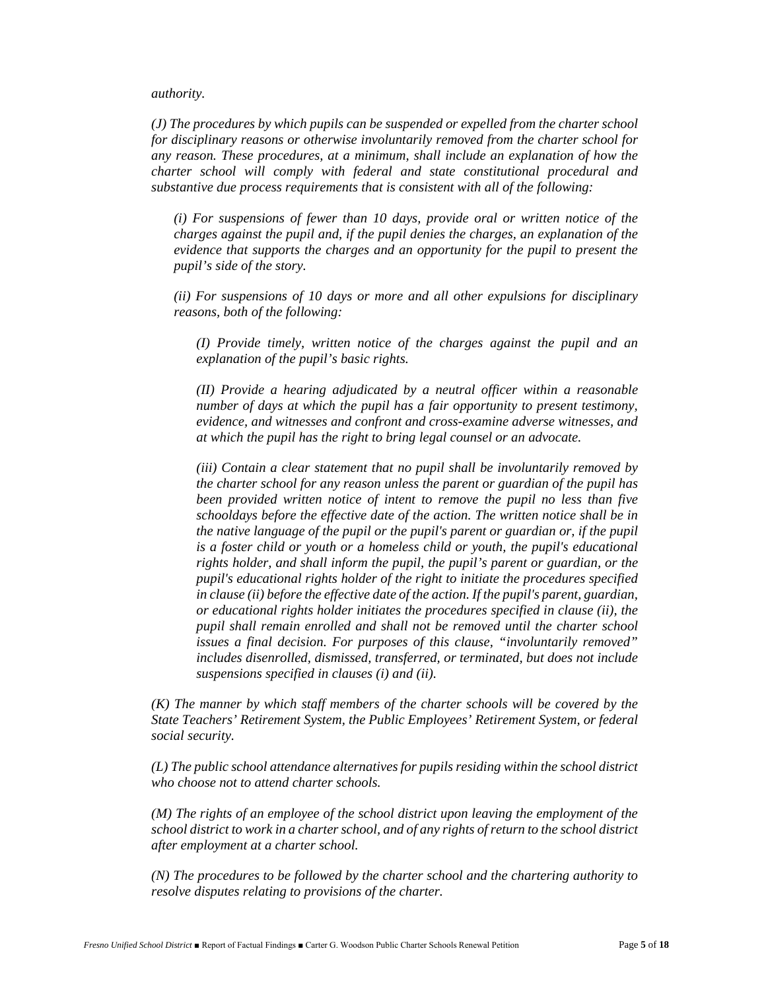*authority.*

*(J) The procedures by which pupils can be suspended or expelled from the charter school for disciplinary reasons or otherwise involuntarily removed from the charter school for any reason. These procedures, at a minimum, shall include an explanation of how the charter school will comply with federal and state constitutional procedural and substantive due process requirements that is consistent with all of the following:*

*(i) For suspensions of fewer than 10 days, provide oral or written notice of the charges against the pupil and, if the pupil denies the charges, an explanation of the evidence that supports the charges and an opportunity for the pupil to present the pupil's side of the story.*

*(ii) For suspensions of 10 days or more and all other expulsions for disciplinary reasons, both of the following:*

*(I) Provide timely, written notice of the charges against the pupil and an explanation of the pupil's basic rights.* 

*(II) Provide a hearing adjudicated by a neutral officer within a reasonable number of days at which the pupil has a fair opportunity to present testimony, evidence, and witnesses and confront and cross-examine adverse witnesses, and at which the pupil has the right to bring legal counsel or an advocate.*

*(iii) Contain a clear statement that no pupil shall be involuntarily removed by the charter school for any reason unless the parent or guardian of the pupil has been provided written notice of intent to remove the pupil no less than five schooldays before the effective date of the action. The written notice shall be in the native language of the pupil or the pupil's parent or guardian or, if the pupil is a foster child or youth or a homeless child or youth, the pupil's educational rights holder, and shall inform the pupil, the pupil's parent or guardian, or the pupil's educational rights holder of the right to initiate the procedures specified in clause (ii) before the effective date of the action. If the pupil's parent, guardian, or educational rights holder initiates the procedures specified in clause (ii), the pupil shall remain enrolled and shall not be removed until the charter school issues a final decision. For purposes of this clause, "involuntarily removed" includes disenrolled, dismissed, transferred, or terminated, but does not include suspensions specified in clauses (i) and (ii).*

*(K) The manner by which staff members of the charter schools will be covered by the State Teachers' Retirement System, the Public Employees' Retirement System, or federal social security.*

*(L) The public school attendance alternatives for pupils residing within the school district who choose not to attend charter schools.*

*(M) The rights of an employee of the school district upon leaving the employment of the school district to work in a charter school, and of any rights of return to the school district after employment at a charter school.*

*(N) The procedures to be followed by the charter school and the chartering authority to resolve disputes relating to provisions of the charter.*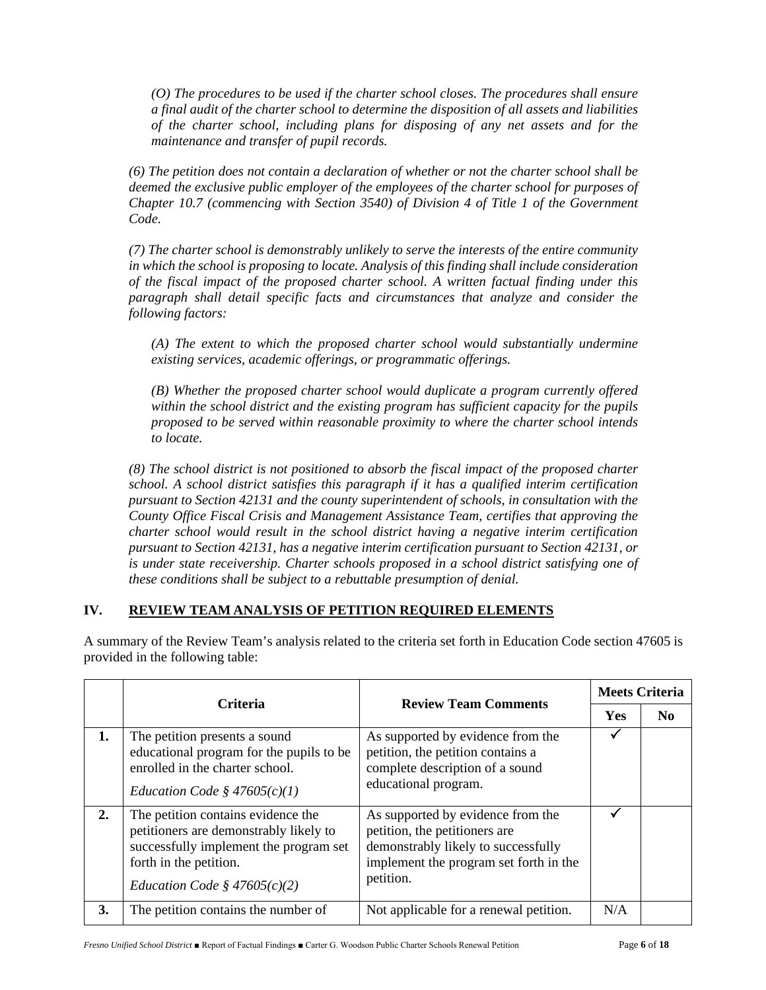*(O) The procedures to be used if the charter school closes. The procedures shall ensure a final audit of the charter school to determine the disposition of all assets and liabilities of the charter school, including plans for disposing of any net assets and for the maintenance and transfer of pupil records.*

*(6) The petition does not contain a declaration of whether or not the charter school shall be deemed the exclusive public employer of the employees of the charter school for purposes of Chapter 10.7 (commencing with Section 3540) of Division 4 of Title 1 of the Government Code.*

*(7) The charter school is demonstrably unlikely to serve the interests of the entire community in which the school is proposing to locate. Analysis of this finding shall include consideration of the fiscal impact of the proposed charter school. A written factual finding under this paragraph shall detail specific facts and circumstances that analyze and consider the following factors:*

*(A) The extent to which the proposed charter school would substantially undermine existing services, academic offerings, or programmatic offerings.*

*(B) Whether the proposed charter school would duplicate a program currently offered within the school district and the existing program has sufficient capacity for the pupils proposed to be served within reasonable proximity to where the charter school intends to locate.*

*(8) The school district is not positioned to absorb the fiscal impact of the proposed charter school. A school district satisfies this paragraph if it has a qualified interim certification pursuant to Section 42131 and the county superintendent of schools, in consultation with the County Office Fiscal Crisis and Management Assistance Team, certifies that approving the charter school would result in the school district having a negative interim certification pursuant to Section 42131, has a negative interim certification pursuant to Section 42131, or is under state receivership. Charter schools proposed in a school district satisfying one of these conditions shall be subject to a rebuttable presumption of denial.*

# **IV. REVIEW TEAM ANALYSIS OF PETITION REQUIRED ELEMENTS**

|    |                                                                                                                                                                                    |                                                                                                                                                                  | <b>Meets Criteria</b> |     |
|----|------------------------------------------------------------------------------------------------------------------------------------------------------------------------------------|------------------------------------------------------------------------------------------------------------------------------------------------------------------|-----------------------|-----|
|    | <b>Criteria</b>                                                                                                                                                                    | <b>Review Team Comments</b>                                                                                                                                      | <b>Yes</b>            | No. |
| 1. | The petition presents a sound<br>educational program for the pupils to be<br>enrolled in the charter school.<br>Education Code § $47605(c)(1)$                                     | As supported by evidence from the<br>petition, the petition contains a<br>complete description of a sound<br>educational program.                                |                       |     |
| 2. | The petition contains evidence the<br>petitioners are demonstrably likely to<br>successfully implement the program set<br>forth in the petition.<br>Education Code § $47605(c)(2)$ | As supported by evidence from the<br>petition, the petitioners are<br>demonstrably likely to successfully<br>implement the program set forth in the<br>petition. |                       |     |
| 3. | The petition contains the number of                                                                                                                                                | Not applicable for a renewal petition.                                                                                                                           | N/A                   |     |

A summary of the Review Team's analysis related to the criteria set forth in Education Code section 47605 is provided in the following table: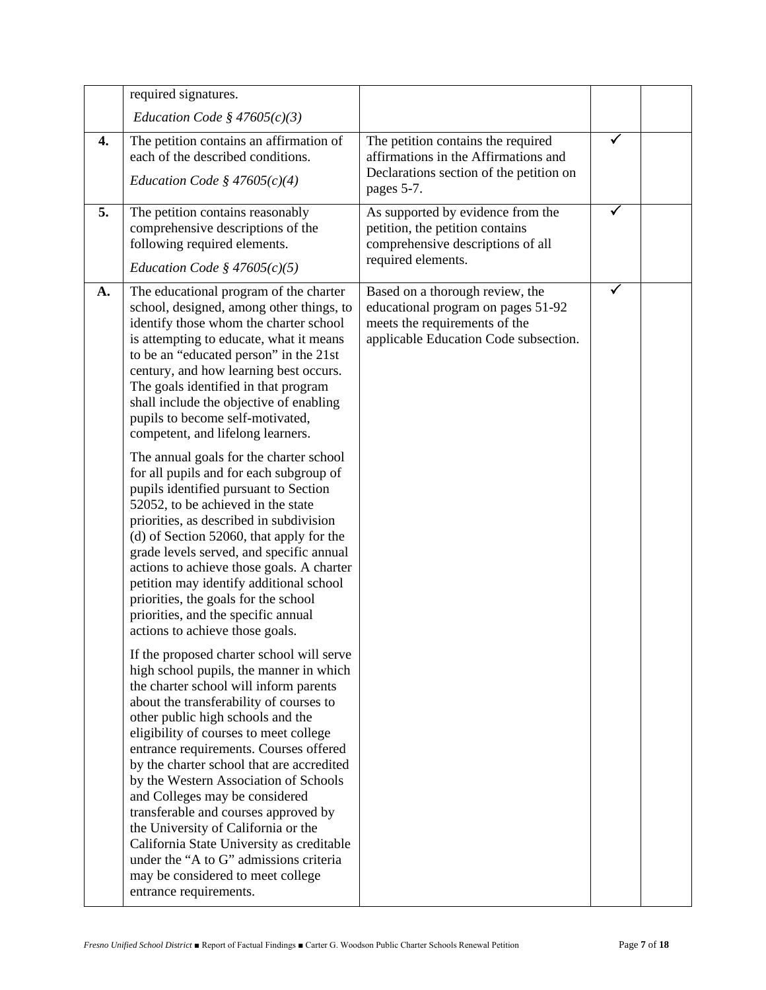| Education Code § $47605(c)(3)$<br>The petition contains an affirmation of<br>The petition contains the required<br>✓<br>4.<br>each of the described conditions.<br>affirmations in the Affirmations and<br>Declarations section of the petition on<br>Education Code § $47605(c)(4)$<br>pages 5-7.<br>✓<br>5.<br>The petition contains reasonably<br>As supported by evidence from the<br>petition, the petition contains<br>comprehensive descriptions of the<br>following required elements.<br>comprehensive descriptions of all<br>required elements.<br>Education Code § $47605(c)(5)$<br>The educational program of the charter<br>Based on a thorough review, the<br>✓<br>A.<br>school, designed, among other things, to<br>educational program on pages 51-92<br>identify those whom the charter school<br>meets the requirements of the<br>is attempting to educate, what it means<br>applicable Education Code subsection.<br>to be an "educated person" in the 21st<br>century, and how learning best occurs.<br>The goals identified in that program<br>shall include the objective of enabling<br>pupils to become self-motivated,<br>competent, and lifelong learners.<br>The annual goals for the charter school<br>for all pupils and for each subgroup of<br>pupils identified pursuant to Section<br>52052, to be achieved in the state<br>priorities, as described in subdivision<br>(d) of Section 52060, that apply for the<br>grade levels served, and specific annual<br>actions to achieve those goals. A charter<br>petition may identify additional school<br>priorities, the goals for the school<br>priorities, and the specific annual<br>actions to achieve those goals.<br>If the proposed charter school will serve<br>high school pupils, the manner in which<br>the charter school will inform parents<br>about the transferability of courses to<br>other public high schools and the<br>eligibility of courses to meet college<br>entrance requirements. Courses offered<br>by the charter school that are accredited<br>by the Western Association of Schools<br>and Colleges may be considered | required signatures. |  |  |
|--------------------------------------------------------------------------------------------------------------------------------------------------------------------------------------------------------------------------------------------------------------------------------------------------------------------------------------------------------------------------------------------------------------------------------------------------------------------------------------------------------------------------------------------------------------------------------------------------------------------------------------------------------------------------------------------------------------------------------------------------------------------------------------------------------------------------------------------------------------------------------------------------------------------------------------------------------------------------------------------------------------------------------------------------------------------------------------------------------------------------------------------------------------------------------------------------------------------------------------------------------------------------------------------------------------------------------------------------------------------------------------------------------------------------------------------------------------------------------------------------------------------------------------------------------------------------------------------------------------------------------------------------------------------------------------------------------------------------------------------------------------------------------------------------------------------------------------------------------------------------------------------------------------------------------------------------------------------------------------------------------------------------------------------------------------------------------------------------------------------------------------|----------------------|--|--|
|                                                                                                                                                                                                                                                                                                                                                                                                                                                                                                                                                                                                                                                                                                                                                                                                                                                                                                                                                                                                                                                                                                                                                                                                                                                                                                                                                                                                                                                                                                                                                                                                                                                                                                                                                                                                                                                                                                                                                                                                                                                                                                                                      |                      |  |  |
|                                                                                                                                                                                                                                                                                                                                                                                                                                                                                                                                                                                                                                                                                                                                                                                                                                                                                                                                                                                                                                                                                                                                                                                                                                                                                                                                                                                                                                                                                                                                                                                                                                                                                                                                                                                                                                                                                                                                                                                                                                                                                                                                      |                      |  |  |
|                                                                                                                                                                                                                                                                                                                                                                                                                                                                                                                                                                                                                                                                                                                                                                                                                                                                                                                                                                                                                                                                                                                                                                                                                                                                                                                                                                                                                                                                                                                                                                                                                                                                                                                                                                                                                                                                                                                                                                                                                                                                                                                                      |                      |  |  |
| transferable and courses approved by<br>the University of California or the<br>California State University as creditable<br>under the "A to G" admissions criteria<br>may be considered to meet college                                                                                                                                                                                                                                                                                                                                                                                                                                                                                                                                                                                                                                                                                                                                                                                                                                                                                                                                                                                                                                                                                                                                                                                                                                                                                                                                                                                                                                                                                                                                                                                                                                                                                                                                                                                                                                                                                                                              |                      |  |  |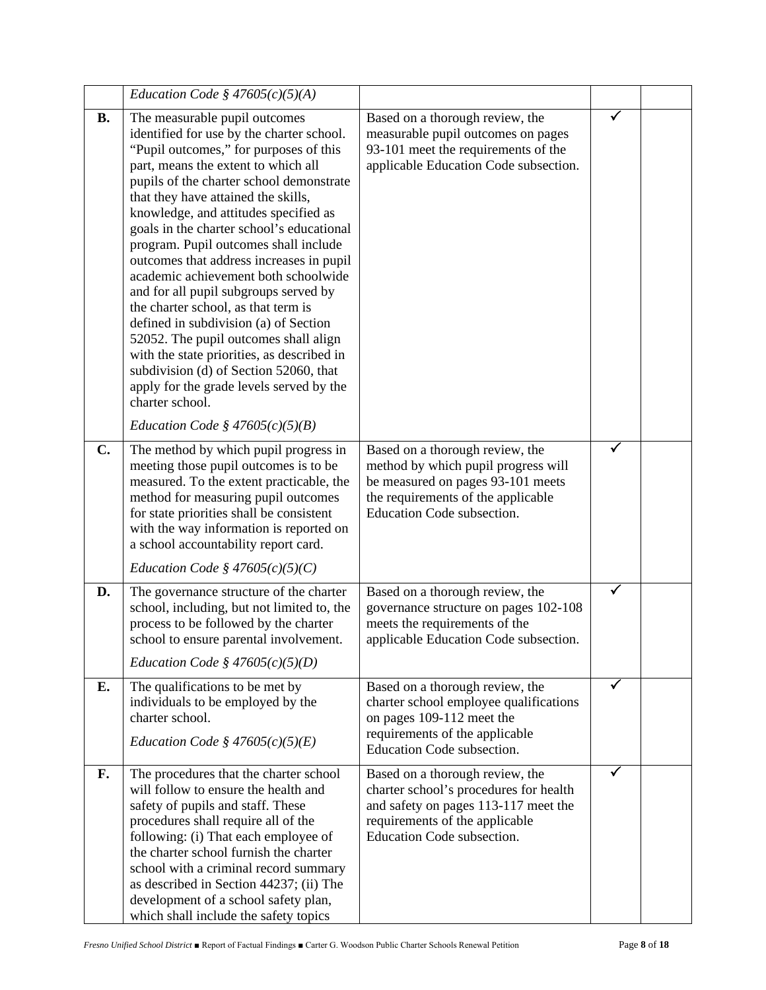|           | Education Code § $47605(c)(5)(A)$                                                                                                                                                                                                                                                                                                                                                                                                                                                                                                                                                                                                                                                                                                                                                                                               |                                                                                                                                                                                   |              |  |
|-----------|---------------------------------------------------------------------------------------------------------------------------------------------------------------------------------------------------------------------------------------------------------------------------------------------------------------------------------------------------------------------------------------------------------------------------------------------------------------------------------------------------------------------------------------------------------------------------------------------------------------------------------------------------------------------------------------------------------------------------------------------------------------------------------------------------------------------------------|-----------------------------------------------------------------------------------------------------------------------------------------------------------------------------------|--------------|--|
| <b>B.</b> | The measurable pupil outcomes<br>identified for use by the charter school.<br>"Pupil outcomes," for purposes of this<br>part, means the extent to which all<br>pupils of the charter school demonstrate<br>that they have attained the skills,<br>knowledge, and attitudes specified as<br>goals in the charter school's educational<br>program. Pupil outcomes shall include<br>outcomes that address increases in pupil<br>academic achievement both schoolwide<br>and for all pupil subgroups served by<br>the charter school, as that term is<br>defined in subdivision (a) of Section<br>52052. The pupil outcomes shall align<br>with the state priorities, as described in<br>subdivision (d) of Section 52060, that<br>apply for the grade levels served by the<br>charter school.<br>Education Code § $47605(c)(5)(B)$ | Based on a thorough review, the<br>measurable pupil outcomes on pages<br>93-101 meet the requirements of the<br>applicable Education Code subsection.                             | ✓            |  |
| C.        | The method by which pupil progress in<br>meeting those pupil outcomes is to be<br>measured. To the extent practicable, the<br>method for measuring pupil outcomes<br>for state priorities shall be consistent<br>with the way information is reported on<br>a school accountability report card.<br>Education Code § $47605(c)(5)(C)$                                                                                                                                                                                                                                                                                                                                                                                                                                                                                           | Based on a thorough review, the<br>method by which pupil progress will<br>be measured on pages 93-101 meets<br>the requirements of the applicable<br>Education Code subsection.   | ✓            |  |
| D.        | The governance structure of the charter<br>school, including, but not limited to, the<br>process to be followed by the charter<br>school to ensure parental involvement.<br>Education Code § $47605(c)(5)(D)$                                                                                                                                                                                                                                                                                                                                                                                                                                                                                                                                                                                                                   | Based on a thorough review, the<br>governance structure on pages 102-108<br>meets the requirements of the<br>applicable Education Code subsection.                                |              |  |
| Е.        | The qualifications to be met by<br>individuals to be employed by the<br>charter school.<br>Education Code § $47605(c)(5)(E)$                                                                                                                                                                                                                                                                                                                                                                                                                                                                                                                                                                                                                                                                                                    | Based on a thorough review, the<br>charter school employee qualifications<br>on pages 109-112 meet the<br>requirements of the applicable<br>Education Code subsection.            | ✓            |  |
| F.        | The procedures that the charter school<br>will follow to ensure the health and<br>safety of pupils and staff. These<br>procedures shall require all of the<br>following: (i) That each employee of<br>the charter school furnish the charter<br>school with a criminal record summary<br>as described in Section 44237; (ii) The<br>development of a school safety plan,<br>which shall include the safety topics                                                                                                                                                                                                                                                                                                                                                                                                               | Based on a thorough review, the<br>charter school's procedures for health<br>and safety on pages 113-117 meet the<br>requirements of the applicable<br>Education Code subsection. | $\checkmark$ |  |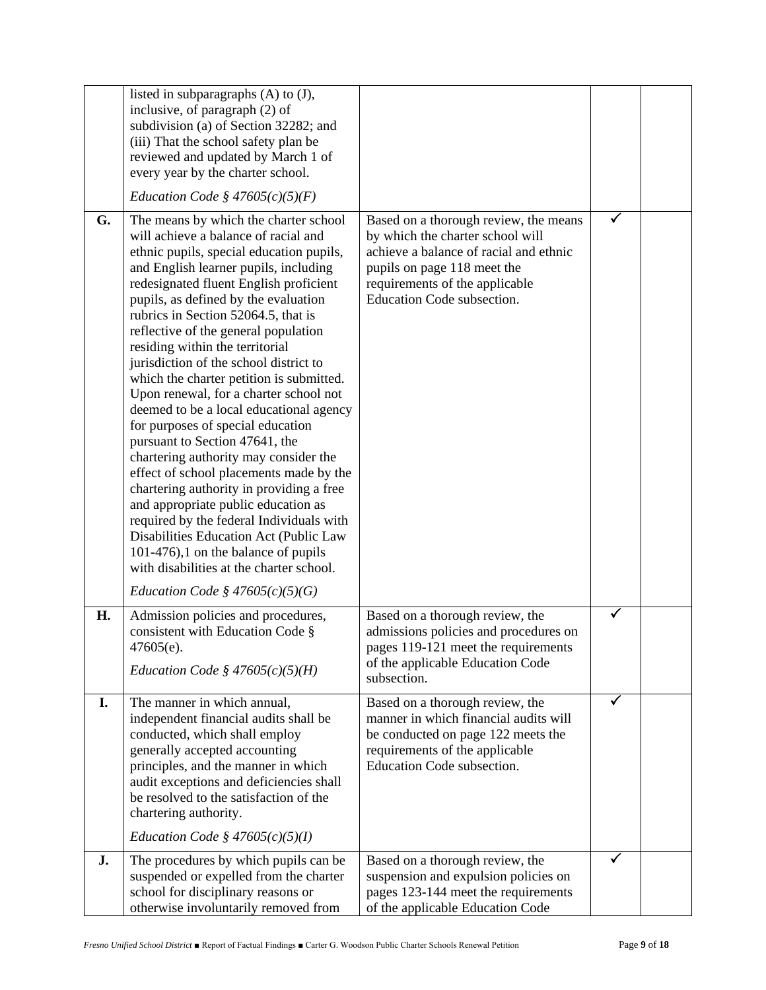|    | listed in subparagraphs $(A)$ to $(J)$ ,<br>inclusive, of paragraph (2) of<br>subdivision (a) of Section 32282; and<br>(iii) That the school safety plan be<br>reviewed and updated by March 1 of<br>every year by the charter school.<br>Education Code § $47605(c)(5)(F)$                                                                                                                                                                                                                                                                                                                                                                                                                                                                                                                                                                                                                                                                                                                                      |                                                                                                                                                                                                                    |   |  |
|----|------------------------------------------------------------------------------------------------------------------------------------------------------------------------------------------------------------------------------------------------------------------------------------------------------------------------------------------------------------------------------------------------------------------------------------------------------------------------------------------------------------------------------------------------------------------------------------------------------------------------------------------------------------------------------------------------------------------------------------------------------------------------------------------------------------------------------------------------------------------------------------------------------------------------------------------------------------------------------------------------------------------|--------------------------------------------------------------------------------------------------------------------------------------------------------------------------------------------------------------------|---|--|
| G. | The means by which the charter school<br>will achieve a balance of racial and<br>ethnic pupils, special education pupils,<br>and English learner pupils, including<br>redesignated fluent English proficient<br>pupils, as defined by the evaluation<br>rubrics in Section 52064.5, that is<br>reflective of the general population<br>residing within the territorial<br>jurisdiction of the school district to<br>which the charter petition is submitted.<br>Upon renewal, for a charter school not<br>deemed to be a local educational agency<br>for purposes of special education<br>pursuant to Section 47641, the<br>chartering authority may consider the<br>effect of school placements made by the<br>chartering authority in providing a free<br>and appropriate public education as<br>required by the federal Individuals with<br>Disabilities Education Act (Public Law<br>$101-476$ , 1 on the balance of pupils<br>with disabilities at the charter school.<br>Education Code § $47605(c)(5)(G)$ | Based on a thorough review, the means<br>by which the charter school will<br>achieve a balance of racial and ethnic<br>pupils on page 118 meet the<br>requirements of the applicable<br>Education Code subsection. |   |  |
| Н. | Admission policies and procedures,<br>consistent with Education Code §<br>$47605(e)$ .<br>Education Code § $47605(c)(5)(H)$                                                                                                                                                                                                                                                                                                                                                                                                                                                                                                                                                                                                                                                                                                                                                                                                                                                                                      | Based on a thorough review, the<br>admissions policies and procedures on<br>pages 119-121 meet the requirements<br>of the applicable Education Code<br>subsection.                                                 | ✓ |  |
| I. | The manner in which annual,<br>independent financial audits shall be<br>conducted, which shall employ<br>generally accepted accounting<br>principles, and the manner in which<br>audit exceptions and deficiencies shall<br>be resolved to the satisfaction of the<br>chartering authority.<br>Education Code § $47605(c)(5)(I)$                                                                                                                                                                                                                                                                                                                                                                                                                                                                                                                                                                                                                                                                                 | Based on a thorough review, the<br>manner in which financial audits will<br>be conducted on page 122 meets the<br>requirements of the applicable<br>Education Code subsection.                                     | ✓ |  |
| J. | The procedures by which pupils can be<br>suspended or expelled from the charter<br>school for disciplinary reasons or<br>otherwise involuntarily removed from                                                                                                                                                                                                                                                                                                                                                                                                                                                                                                                                                                                                                                                                                                                                                                                                                                                    | Based on a thorough review, the<br>suspension and expulsion policies on<br>pages 123-144 meet the requirements<br>of the applicable Education Code                                                                 | ✓ |  |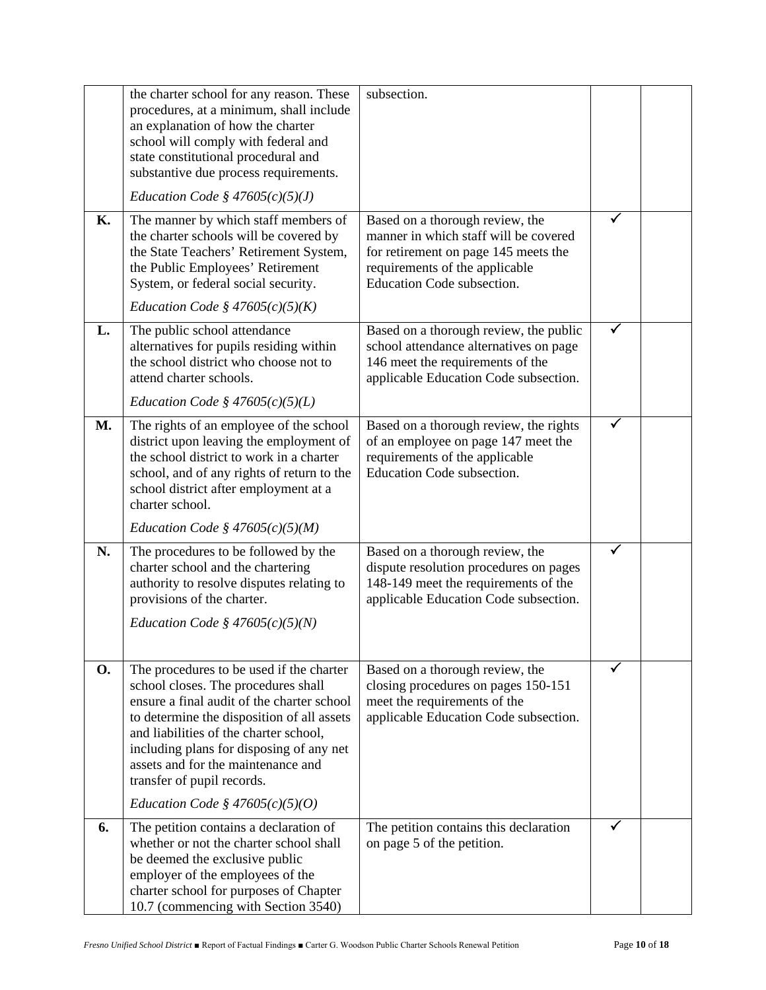| К.        | the charter school for any reason. These<br>procedures, at a minimum, shall include<br>an explanation of how the charter<br>school will comply with federal and<br>state constitutional procedural and<br>substantive due process requirements.<br>Education Code § $47605(c)(5)(J)$<br>The manner by which staff members of<br>the charter schools will be covered by<br>the State Teachers' Retirement System,<br>the Public Employees' Retirement<br>System, or federal social security. | subsection.<br>Based on a thorough review, the<br>manner in which staff will be covered<br>for retirement on page 145 meets the<br>requirements of the applicable<br>Education Code subsection. |   |  |
|-----------|---------------------------------------------------------------------------------------------------------------------------------------------------------------------------------------------------------------------------------------------------------------------------------------------------------------------------------------------------------------------------------------------------------------------------------------------------------------------------------------------|-------------------------------------------------------------------------------------------------------------------------------------------------------------------------------------------------|---|--|
|           | Education Code § $47605(c)(5)(K)$                                                                                                                                                                                                                                                                                                                                                                                                                                                           |                                                                                                                                                                                                 |   |  |
| L.        | The public school attendance<br>alternatives for pupils residing within<br>the school district who choose not to<br>attend charter schools.<br>Education Code § $47605(c)(5)(L)$                                                                                                                                                                                                                                                                                                            | Based on a thorough review, the public<br>school attendance alternatives on page<br>146 meet the requirements of the<br>applicable Education Code subsection.                                   | ✓ |  |
| <b>M.</b> | The rights of an employee of the school<br>district upon leaving the employment of<br>the school district to work in a charter<br>school, and of any rights of return to the<br>school district after employment at a<br>charter school.<br>Education Code § $47605(c)(5)(M)$                                                                                                                                                                                                               | Based on a thorough review, the rights<br>of an employee on page 147 meet the<br>requirements of the applicable<br>Education Code subsection.                                                   |   |  |
| N.        | The procedures to be followed by the<br>charter school and the chartering<br>authority to resolve disputes relating to<br>provisions of the charter.<br>Education Code § $47605(c)(5)(N)$                                                                                                                                                                                                                                                                                                   | Based on a thorough review, the<br>dispute resolution procedures on pages<br>148-149 meet the requirements of the<br>applicable Education Code subsection.                                      | ✓ |  |
| <b>O.</b> | The procedures to be used if the charter<br>school closes. The procedures shall<br>ensure a final audit of the charter school<br>to determine the disposition of all assets<br>and liabilities of the charter school,<br>including plans for disposing of any net<br>assets and for the maintenance and<br>transfer of pupil records.                                                                                                                                                       | Based on a thorough review, the<br>closing procedures on pages 150-151<br>meet the requirements of the<br>applicable Education Code subsection.                                                 |   |  |
|           | Education Code § $47605(c)(5)(O)$                                                                                                                                                                                                                                                                                                                                                                                                                                                           |                                                                                                                                                                                                 |   |  |
| 6.        | The petition contains a declaration of<br>whether or not the charter school shall<br>be deemed the exclusive public<br>employer of the employees of the<br>charter school for purposes of Chapter<br>10.7 (commencing with Section 3540)                                                                                                                                                                                                                                                    | The petition contains this declaration<br>on page 5 of the petition.                                                                                                                            |   |  |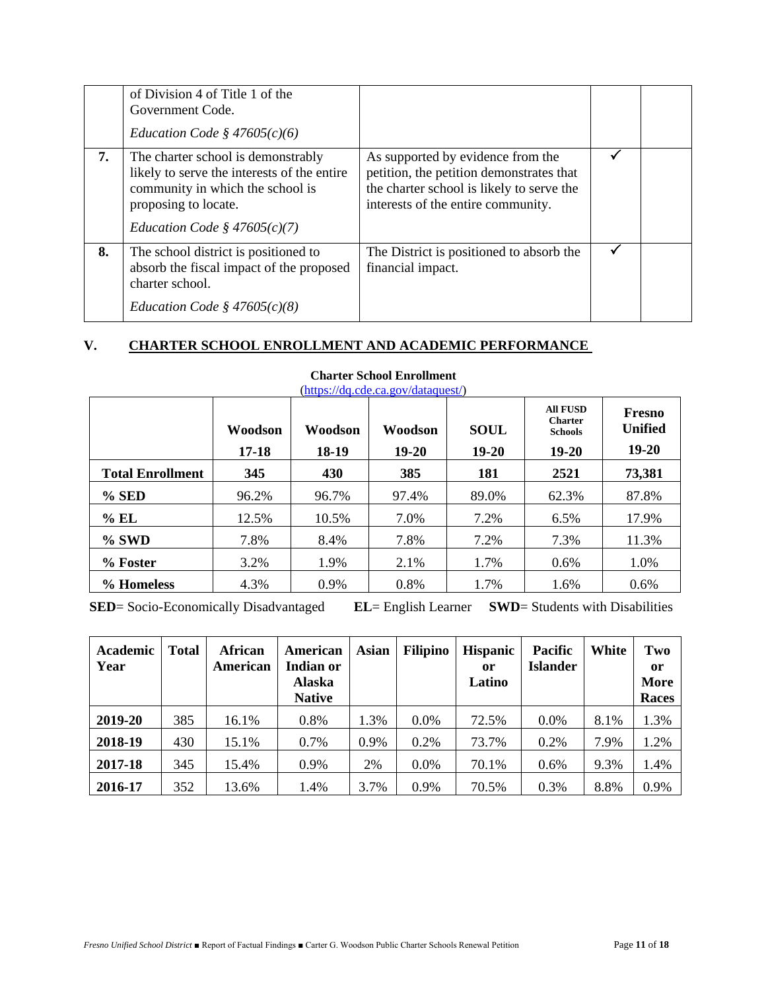|    | of Division 4 of Title 1 of the<br>Government Code.<br>Education Code § $47605(c)(6)$                                                                                           |                                                                                                                                                                  |  |
|----|---------------------------------------------------------------------------------------------------------------------------------------------------------------------------------|------------------------------------------------------------------------------------------------------------------------------------------------------------------|--|
| 7. | The charter school is demonstrably<br>likely to serve the interests of the entire<br>community in which the school is<br>proposing to locate.<br>Education Code § $47605(c)(7)$ | As supported by evidence from the<br>petition, the petition demonstrates that<br>the charter school is likely to serve the<br>interests of the entire community. |  |
| 8. | The school district is positioned to<br>absorb the fiscal impact of the proposed<br>charter school.<br><i>Education Code</i> § $47605(c)(8)$                                    | The District is positioned to absorb the<br>financial impact.                                                                                                    |  |

# **V. CHARTER SCHOOL ENROLLMENT AND ACADEMIC PERFORMANCE**

|                         | Woodson<br>17-18 | Woodson<br>18-19 | Woodson<br>19-20 | <b>SOUL</b><br>19-20 | <b>All FUSD</b><br><b>Charter</b><br><b>Schools</b><br>19-20 | Fresno<br><b>Unified</b><br>19-20 |
|-------------------------|------------------|------------------|------------------|----------------------|--------------------------------------------------------------|-----------------------------------|
| <b>Total Enrollment</b> | 345              | 430              | 385              | 181                  | 2521                                                         | 73,381                            |
| % SED                   | 96.2%            | 96.7%            | 97.4%            | 89.0%                | 62.3%                                                        | 87.8%                             |
| $%$ EL                  | 12.5%            | 10.5%            | 7.0%             | 7.2%                 | 6.5%                                                         | 17.9%                             |
| % SWD                   | 7.8%             | 8.4%             | 7.8%             | 7.2%                 | 7.3%                                                         | 11.3%                             |
| % Foster                | 3.2%             | 1.9%             | 2.1%             | 1.7%                 | 0.6%                                                         | 1.0%                              |
| % Homeless              | 4.3%             | 0.9%             | 0.8%             | 1.7%                 | 1.6%                                                         | $0.6\%$                           |

## **Charter School Enrollment**

[\(https://dq.cde.ca.gov/dataquest/\)](https://dq.cde.ca.gov/dataquest/)

**SED**= Socio-Economically Disadvantaged **EL**= English Learner **SWD**= Students with Disabilities

| Academic<br>Year | <b>Total</b> | African<br>American | American<br><b>Indian or</b><br><b>Alaska</b><br><b>Native</b> | <b>Asian</b> | <b>Filipino</b> | <b>Hispanic</b><br>or<br>Latino | <b>Pacific</b><br><b>Islander</b> | White | Two<br><b>or</b><br><b>More</b><br>Races |
|------------------|--------------|---------------------|----------------------------------------------------------------|--------------|-----------------|---------------------------------|-----------------------------------|-------|------------------------------------------|
| 2019-20          | 385          | 16.1%               | 0.8%                                                           | 1.3%         | $0.0\%$         | 72.5%                           | $0.0\%$                           | 8.1%  | 1.3%                                     |
| 2018-19          | 430          | 15.1%               | 0.7%                                                           | 0.9%         | 0.2%            | 73.7%                           | 0.2%                              | 7.9%  | 1.2%                                     |
| 2017-18          | 345          | 15.4%               | 0.9%                                                           | 2%           | $0.0\%$         | 70.1%                           | 0.6%                              | 9.3%  | 1.4%                                     |
| 2016-17          | 352          | 13.6%               | 1.4%                                                           | 3.7%         | 0.9%            | 70.5%                           | 0.3%                              | 8.8%  | 0.9%                                     |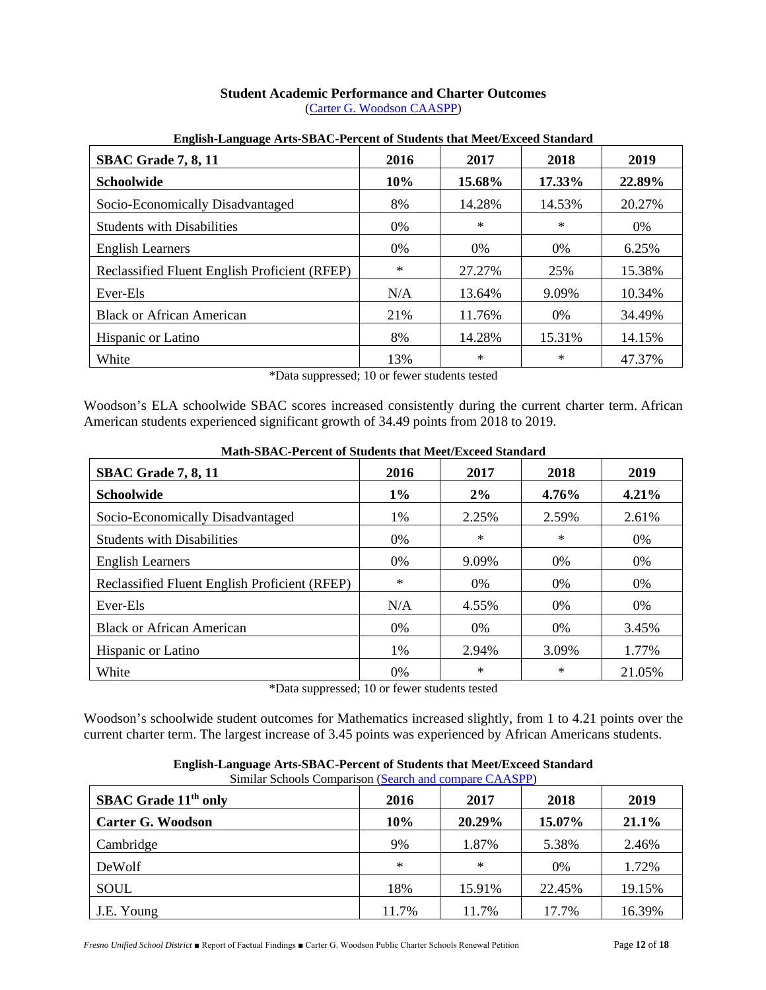#### **Student Academic Performance and Charter Outcomes** [\(Carter G. Woodson CAASPP\)](https://caaspp-elpac.cde.ca.gov/caaspp/DashViewReport?ps=true&lstTestYear=2019&lstTestType=B&lstGroup=1&lstSubGroup=1&lstGrade=13&lstSchoolType=A&lstCounty=10&lstDistrict=62166-1030840&lstSchool=1030840)

| <del>。</del> 。<br><b>SBAC Grade 7, 8, 11</b>  | 2016   | 2017   | 2018   | 2019   |
|-----------------------------------------------|--------|--------|--------|--------|
| <b>Schoolwide</b>                             | 10%    | 15.68% | 17.33% | 22.89% |
| Socio-Economically Disadvantaged              | 8%     | 14.28% | 14.53% | 20.27% |
| <b>Students with Disabilities</b>             | 0%     | $\ast$ | ∗      | 0%     |
| <b>English Learners</b>                       | 0%     | 0%     | 0%     | 6.25%  |
| Reclassified Fluent English Proficient (RFEP) | $\ast$ | 27.27% | 25%    | 15.38% |
| Ever-Els                                      | N/A    | 13.64% | 9.09%  | 10.34% |
| <b>Black or African American</b>              | 21%    | 11.76% | 0%     | 34.49% |
| Hispanic or Latino                            | 8%     | 14.28% | 15.31% | 14.15% |
| White                                         | 13%    | $\ast$ | $\ast$ | 47.37% |

#### **English-Language Arts-SBAC-Percent of Students that Meet/Exceed Standard**

\*Data suppressed; 10 or fewer students tested

Woodson's ELA schoolwide SBAC scores increased consistently during the current charter term. African American students experienced significant growth of 34.49 points from 2018 to 2019.

| <b>SBAC Grade 7, 8, 11</b>                    | 2016   | 2017   | 2018   | 2019   |
|-----------------------------------------------|--------|--------|--------|--------|
| Schoolwide                                    | $1\%$  | $2\%$  | 4.76%  | 4.21%  |
| Socio-Economically Disadvantaged              | 1%     | 2.25%  | 2.59%  | 2.61%  |
| <b>Students with Disabilities</b>             | 0%     | $\ast$ | $\ast$ | 0%     |
| <b>English Learners</b>                       | $0\%$  | 9.09%  | 0%     | 0%     |
| Reclassified Fluent English Proficient (RFEP) | $\ast$ | $0\%$  | $0\%$  | 0%     |
| Ever-Els                                      | N/A    | 4.55%  | $0\%$  | $0\%$  |
| <b>Black or African American</b>              | $0\%$  | $0\%$  | 0%     | 3.45%  |
| Hispanic or Latino                            | 1%     | 2.94%  | 3.09%  | 1.77%  |
| White                                         | 0%     | $\ast$ | $\ast$ | 21.05% |

**Math-SBAC-Percent of Students that Meet/Exceed Standard**

\*Data suppressed; 10 or fewer students tested

Woodson's schoolwide student outcomes for Mathematics increased slightly, from 1 to 4.21 points over the current charter term. The largest increase of 3.45 points was experienced by African Americans students.

| SBAC Grade 11 <sup>th</sup> only | 2016   | 2017   | 2018   | 2019   |
|----------------------------------|--------|--------|--------|--------|
| <b>Carter G. Woodson</b>         | 10%    | 20.29% | 15.07% | 21.1%  |
| Cambridge                        | 9%     | 1.87%  | 5.38%  | 2.46%  |
| DeWolf                           | $\ast$ | $\ast$ | 0%     | 1.72%  |
| <b>SOUL</b>                      | 18%    | 15.91% | 22.45% | 19.15% |
| J.E. Young                       | 11.7%  | 11.7%  | 17.7%  | 16.39% |

**English-Language Arts-SBAC-Percent of Students that Meet/Exceed Standard**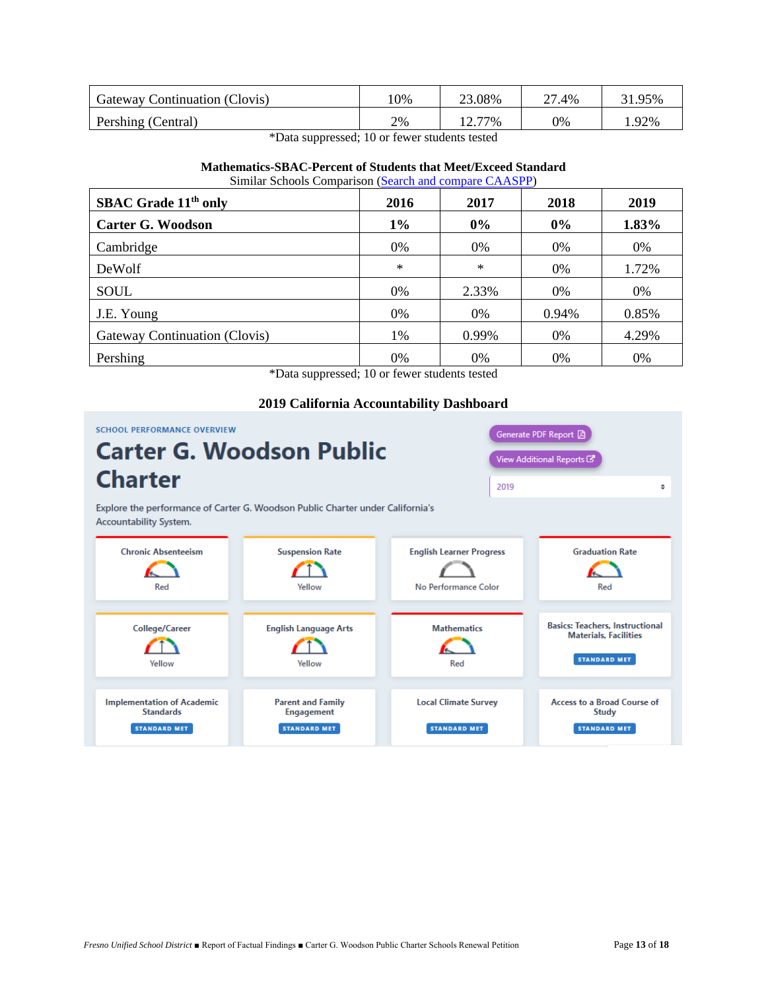| Gateway Continuation (Clovis) | 10% | 23.08% | 27.4% | 31.95% |
|-------------------------------|-----|--------|-------|--------|
| Pershing (Central)            | 2%  | 12.77% | 0%    | .92%   |

\*Data suppressed; 10 or fewer students tested

#### **Mathematics-SBAC-Percent of Students that Meet/Exceed Standard** Similar Schools Comparison [\(Search and compare CAASPP\)](https://caaspp-elpac.cde.ca.gov/caaspp/Search?ps=true&lstTestYear=2019&lstTestType=B&lstGroup=1&lstSchoolType=A&lstCounty=00&lstDistrict=00000&lstSchool=0000000)

| <b>SBAC Grade 11th only</b>   | 2016           | 2017       | 2018  | 2019  |
|-------------------------------|----------------|------------|-------|-------|
| <b>Carter G. Woodson</b>      | $1\%$          | $0\%$      | $0\%$ | 1.83% |
| Cambridge                     | 0%             | 0%         | 0%    | 0%    |
| DeWolf                        | $\ast$         | $\ast$     | 0%    | 1.72% |
| SOUL                          | 0%             | 2.33%      | 0%    | 0%    |
| J.E. Young                    | 0%             | $0\%$      | 0.94% | 0.85% |
| Gateway Continuation (Clovis) | 1%             | 0.99%      | 0%    | 4.29% |
| Pershing<br>$\mathbf{1}$      | $0\%$<br>1.10C | $0\%$<br>. | 0%    | 0%    |

\*Data suppressed; 10 or fewer students tested

#### **2019 California Accountability Dashboard**

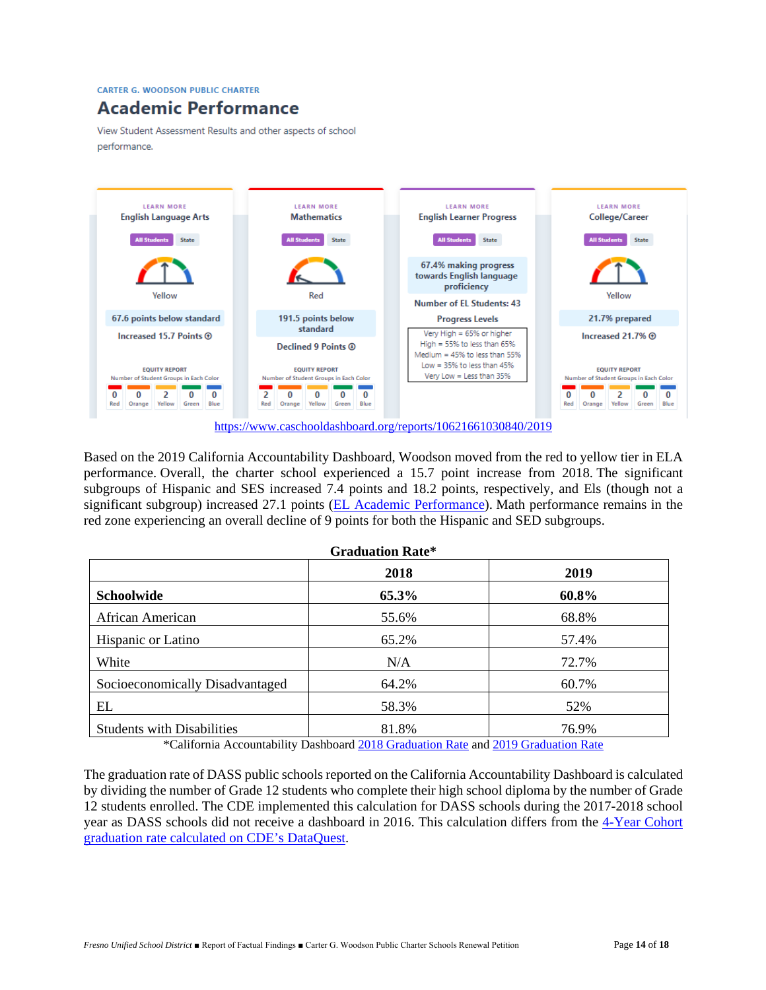**CARTER G. WOODSON PUBLIC CHARTER** 

# **Academic Performance**

View Student Assessment Results and other aspects of school performance.



Based on the 2019 California Accountability Dashboard, Woodson moved from the red to yellow tier in ELA performance. Overall, the charter school experienced a 15.7 point increase from 2018. The significant subgroups of Hispanic and SES increased 7.4 points and 18.2 points, respectively, and Els (though not a significant subgroup) increased 27.1 points [\(EL Academic Performance\)](https://www.caschooldashboard.org/reports/10621661030840/2019/academic-performance#english-language-arts). Math performance remains in the red zone experiencing an overall decline of 9 points for both the Hispanic and SED subgroups.

|                                   | <b>Graduation Rate*</b> |       |
|-----------------------------------|-------------------------|-------|
|                                   | 2018                    | 2019  |
| Schoolwide                        | 65.3%                   | 60.8% |
| African American                  | 55.6%                   | 68.8% |
| Hispanic or Latino                | 65.2%                   | 57.4% |
| White                             | N/A                     | 72.7% |
| Socioeconomically Disadvantaged   | 64.2%                   | 60.7% |
| EL                                | 58.3%                   | 52%   |
| <b>Students with Disabilities</b> | 81.8%                   | 76.9% |

\*California Accountability Dashboard [2018 Graduation Rate](https://www.caschooldashboard.org/reports/10621661030840/2018/academic-engagement#graduation-rate) and [2019 Graduation Rate](https://www.caschooldashboard.org/reports/10621661030840/2019/academic-engagement#graduation-rate)

The graduation rate of DASS public schools reported on the California Accountability Dashboard is calculated by dividing the number of Grade 12 students who complete their high school diploma by the number of Grade 12 students enrolled. The CDE implemented this calculation for DASS schools during the 2017-2018 school year as DASS schools did not receive a dashboard in 2016. This calculation differs from the [4-Year Cohort](https://dq.cde.ca.gov/dataquest/dqcensus/CohRate.aspx?agglevel=school&year=2018-19&cds=10621661030840)  [graduation rate calculated on CDE's DataQuest.](https://dq.cde.ca.gov/dataquest/dqcensus/CohRate.aspx?agglevel=school&year=2018-19&cds=10621661030840)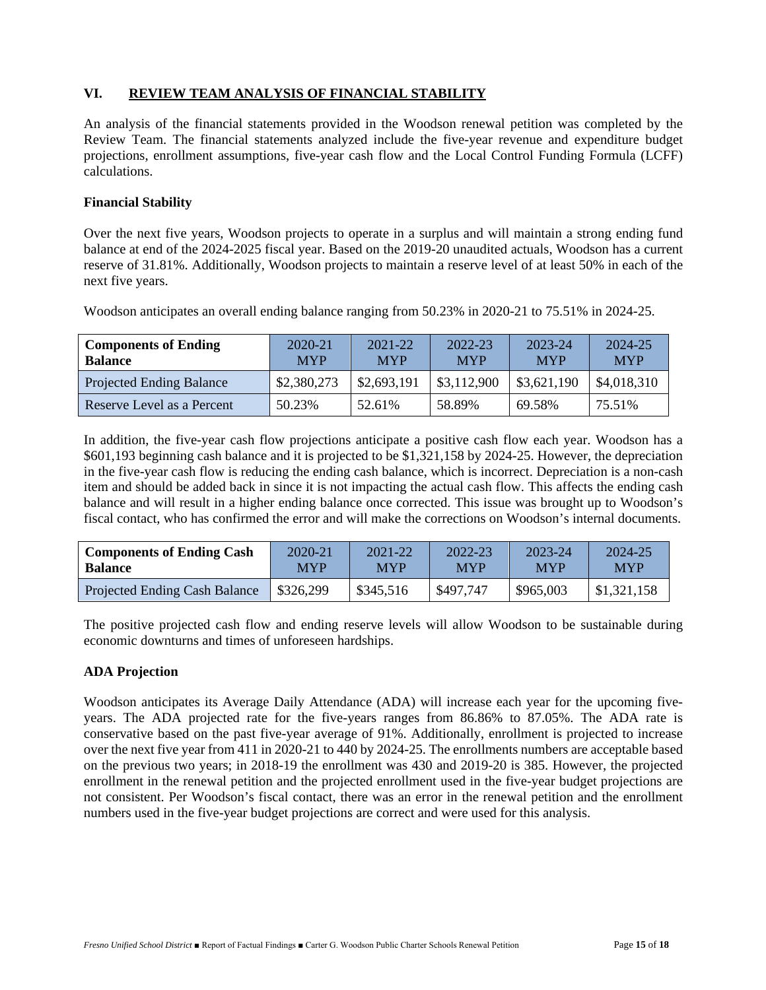# **VI. REVIEW TEAM ANALYSIS OF FINANCIAL STABILITY**

An analysis of the financial statements provided in the Woodson renewal petition was completed by the Review Team. The financial statements analyzed include the five-year revenue and expenditure budget projections, enrollment assumptions, five-year cash flow and the Local Control Funding Formula (LCFF) calculations.

#### **Financial Stability**

Over the next five years, Woodson projects to operate in a surplus and will maintain a strong ending fund balance at end of the 2024-2025 fiscal year. Based on the 2019-20 unaudited actuals, Woodson has a current reserve of 31.81%. Additionally, Woodson projects to maintain a reserve level of at least 50% in each of the next five years.

Woodson anticipates an overall ending balance ranging from 50.23% in 2020-21 to 75.51% in 2024-25.

| <b>Components of Ending</b><br><b>Balance</b> | 2020-21<br><b>MYP</b> | $2021 - 22$<br><b>MYP</b> | 2022-23<br><b>MYP</b> | 2023-24<br><b>MYP</b> | 2024-25<br><b>MYP</b> |
|-----------------------------------------------|-----------------------|---------------------------|-----------------------|-----------------------|-----------------------|
| <b>Projected Ending Balance</b>               | \$2,380,273           | \$2,693,191               | \$3,112,900           | \$3,621,190           | \$4,018,310           |
| Reserve Level as a Percent                    | 50.23%                | 52.61%                    | 58.89%                | 69.58%                | 75.51%                |

In addition, the five-year cash flow projections anticipate a positive cash flow each year. Woodson has a \$601,193 beginning cash balance and it is projected to be \$1,321,158 by 2024-25. However, the depreciation in the five-year cash flow is reducing the ending cash balance, which is incorrect. Depreciation is a non-cash item and should be added back in since it is not impacting the actual cash flow. This affects the ending cash balance and will result in a higher ending balance once corrected. This issue was brought up to Woodson's fiscal contact, who has confirmed the error and will make the corrections on Woodson's internal documents.

| <b>Components of Ending Cash</b>     | 2020-21    | $2021 - 22$ | $2022 - 23$ | 2023-24    | 2024-25     |  |
|--------------------------------------|------------|-------------|-------------|------------|-------------|--|
| <b>Balance</b>                       | <b>MYP</b> | <b>MYP</b>  | <b>MYP</b>  | <b>MYP</b> | <b>MYP</b>  |  |
| <b>Projected Ending Cash Balance</b> | \$326,299  | \$345,516   | \$497,747   | \$965,003  | \$1,321,158 |  |

The positive projected cash flow and ending reserve levels will allow Woodson to be sustainable during economic downturns and times of unforeseen hardships.

#### **ADA Projection**

Woodson anticipates its Average Daily Attendance (ADA) will increase each year for the upcoming fiveyears. The ADA projected rate for the five-years ranges from 86.86% to 87.05%. The ADA rate is conservative based on the past five-year average of 91%. Additionally, enrollment is projected to increase over the next five year from 411 in 2020-21 to 440 by 2024-25. The enrollments numbers are acceptable based on the previous two years; in 2018-19 the enrollment was 430 and 2019-20 is 385. However, the projected enrollment in the renewal petition and the projected enrollment used in the five-year budget projections are not consistent. Per Woodson's fiscal contact, there was an error in the renewal petition and the enrollment numbers used in the five-year budget projections are correct and were used for this analysis.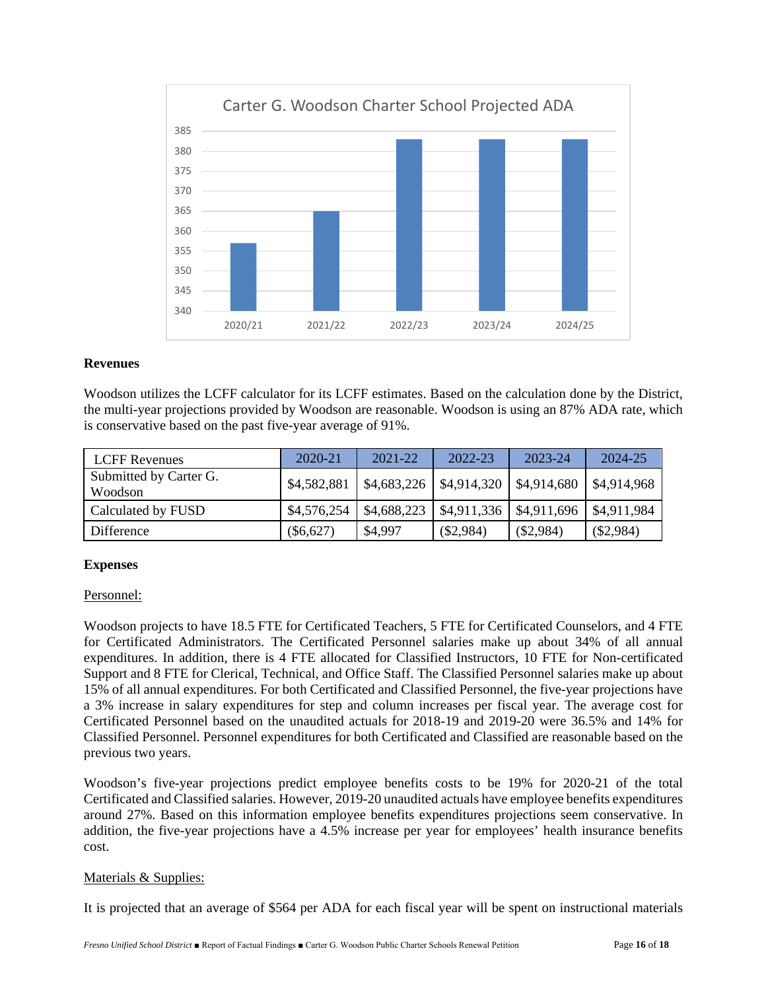

#### **Revenues**

Woodson utilizes the LCFF calculator for its LCFF estimates. Based on the calculation done by the District, the multi-year projections provided by Woodson are reasonable. Woodson is using an 87% ADA rate, which is conservative based on the past five-year average of 91%.

| <b>LCFF Revenues</b>              | 2020-21     | $2021 - 22$                                     | 2022-23     | 2023-24     | 2024-25     |
|-----------------------------------|-------------|-------------------------------------------------|-------------|-------------|-------------|
| Submitted by Carter G.<br>Woodson | \$4,582,881 | $\vert$ \$4,683,226   \$4,914,320   \$4,914,680 |             |             | \$4,914,968 |
| Calculated by FUSD                | \$4,576,254 | \$4,688,223                                     | \$4,911,336 | \$4,911,696 | \$4,911,984 |
| Difference                        | $(\$6,627)$ | \$4,997                                         | $(\$2,984)$ | $(\$2,984)$ | $(\$2,984)$ |

#### **Expenses**

#### Personnel:

Woodson projects to have 18.5 FTE for Certificated Teachers, 5 FTE for Certificated Counselors, and 4 FTE for Certificated Administrators. The Certificated Personnel salaries make up about 34% of all annual expenditures. In addition, there is 4 FTE allocated for Classified Instructors, 10 FTE for Non-certificated Support and 8 FTE for Clerical, Technical, and Office Staff. The Classified Personnel salaries make up about 15% of all annual expenditures. For both Certificated and Classified Personnel, the five-year projections have a 3% increase in salary expenditures for step and column increases per fiscal year. The average cost for Certificated Personnel based on the unaudited actuals for 2018-19 and 2019-20 were 36.5% and 14% for Classified Personnel. Personnel expenditures for both Certificated and Classified are reasonable based on the previous two years.

Woodson's five-year projections predict employee benefits costs to be 19% for 2020-21 of the total Certificated and Classified salaries. However, 2019-20 unaudited actuals have employee benefits expenditures around 27%. Based on this information employee benefits expenditures projections seem conservative. In addition, the five-year projections have a 4.5% increase per year for employees' health insurance benefits cost.

#### Materials & Supplies:

It is projected that an average of \$564 per ADA for each fiscal year will be spent on instructional materials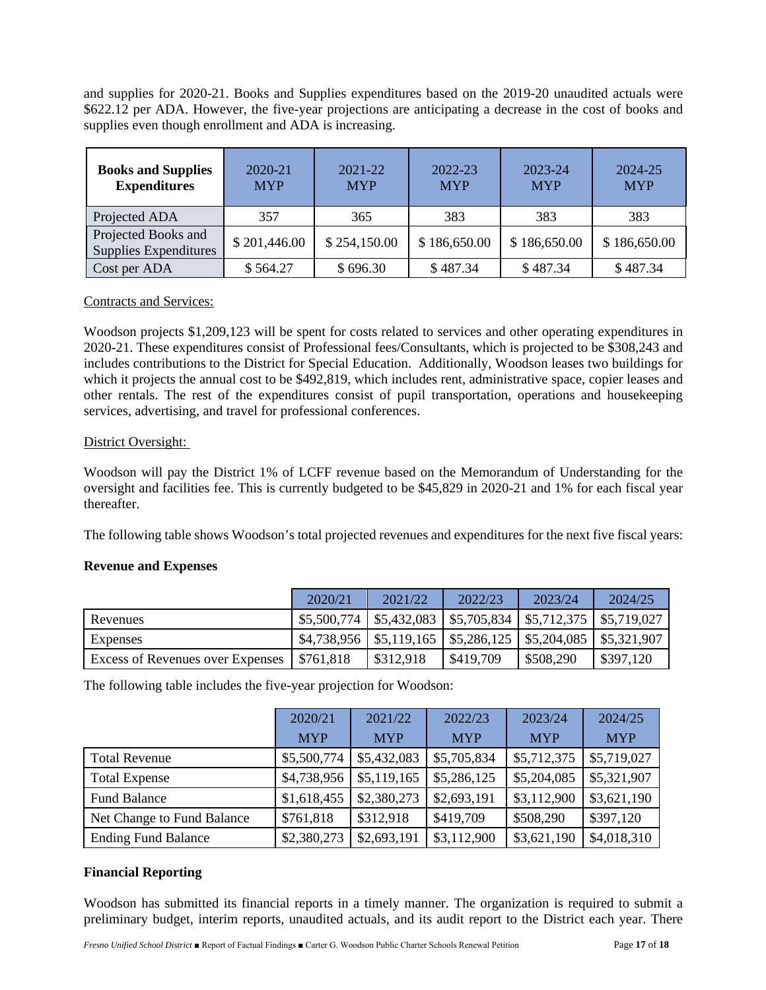and supplies for 2020-21. Books and Supplies expenditures based on the 2019-20 unaudited actuals were \$622.12 per ADA. However, the five-year projections are anticipating a decrease in the cost of books and supplies even though enrollment and ADA is increasing.

| <b>Books and Supplies</b><br><b>Expenditures</b> | 2020-21<br><b>MYP</b> | 2021-22<br><b>MYP</b> | 2022-23<br><b>MYP</b> | 2023-24<br><b>MYP</b> | 2024-25<br><b>MYP</b> |
|--------------------------------------------------|-----------------------|-----------------------|-----------------------|-----------------------|-----------------------|
| Projected ADA                                    | 357                   | 365                   | 383                   | 383                   | 383                   |
| Projected Books and<br>Supplies Expenditures     | \$201,446.00          | \$254,150.00          | \$186,650.00          | \$186,650.00          | \$186,650.00          |
| Cost per ADA                                     | \$564.27              | \$696.30              | \$487.34              | \$487.34              | \$487.34              |

#### Contracts and Services:

Woodson projects \$1,209,123 will be spent for costs related to services and other operating expenditures in 2020-21. These expenditures consist of Professional fees/Consultants, which is projected to be \$308,243 and includes contributions to the District for Special Education. Additionally, Woodson leases two buildings for which it projects the annual cost to be \$492,819, which includes rent, administrative space, copier leases and other rentals. The rest of the expenditures consist of pupil transportation, operations and housekeeping services, advertising, and travel for professional conferences.

#### District Oversight:

Woodson will pay the District 1% of LCFF revenue based on the Memorandum of Understanding for the oversight and facilities fee. This is currently budgeted to be \$45,829 in 2020-21 and 1% for each fiscal year thereafter.

The following table shows Woodson's total projected revenues and expenditures for the next five fiscal years:

#### **Revenue and Expenses**

|                                  | 2020/21   | 2021/22   | 2022/23                                                                                                | 2023/24   | 2024/25   |
|----------------------------------|-----------|-----------|--------------------------------------------------------------------------------------------------------|-----------|-----------|
| Revenues                         |           |           | $\mid$ \$5,500,774 $\mid$ \$5,432,083 $\mid$ \$5,705,834 $\mid$ \$5,712,375 $\mid$ \$5,719,027         |           |           |
| Expenses                         |           |           | $\frac{$4,738,956}{4,738,956}$ \ $\frac{$5,119,165}{4,55,286,125}$ \ $\frac{$5,204,085}{4,55,321,907}$ |           |           |
| Excess of Revenues over Expenses | \$761,818 | \$312,918 | \$419,709                                                                                              | \$508,290 | \$397,120 |

The following table includes the five-year projection for Woodson:

|                            | 2020/21     | 2021/22     | 2022/23     | 2023/24     | 2024/25     |
|----------------------------|-------------|-------------|-------------|-------------|-------------|
|                            | <b>MYP</b>  | <b>MYP</b>  | <b>MYP</b>  | <b>MYP</b>  | <b>MYP</b>  |
| <b>Total Revenue</b>       | \$5,500,774 | \$5,432,083 | \$5,705,834 | \$5,712,375 | \$5,719,027 |
| <b>Total Expense</b>       | \$4,738,956 | \$5,119,165 | \$5,286,125 | \$5,204,085 | \$5,321,907 |
| <b>Fund Balance</b>        | \$1,618,455 | \$2,380,273 | \$2,693,191 | \$3,112,900 | \$3,621,190 |
| Net Change to Fund Balance | \$761,818   | \$312,918   | \$419,709   | \$508,290   | \$397,120   |
| <b>Ending Fund Balance</b> | \$2,380,273 | \$2,693,191 | \$3,112,900 | \$3,621,190 | \$4,018,310 |

#### **Financial Reporting**

Woodson has submitted its financial reports in a timely manner. The organization is required to submit a preliminary budget, interim reports, unaudited actuals, and its audit report to the District each year. There